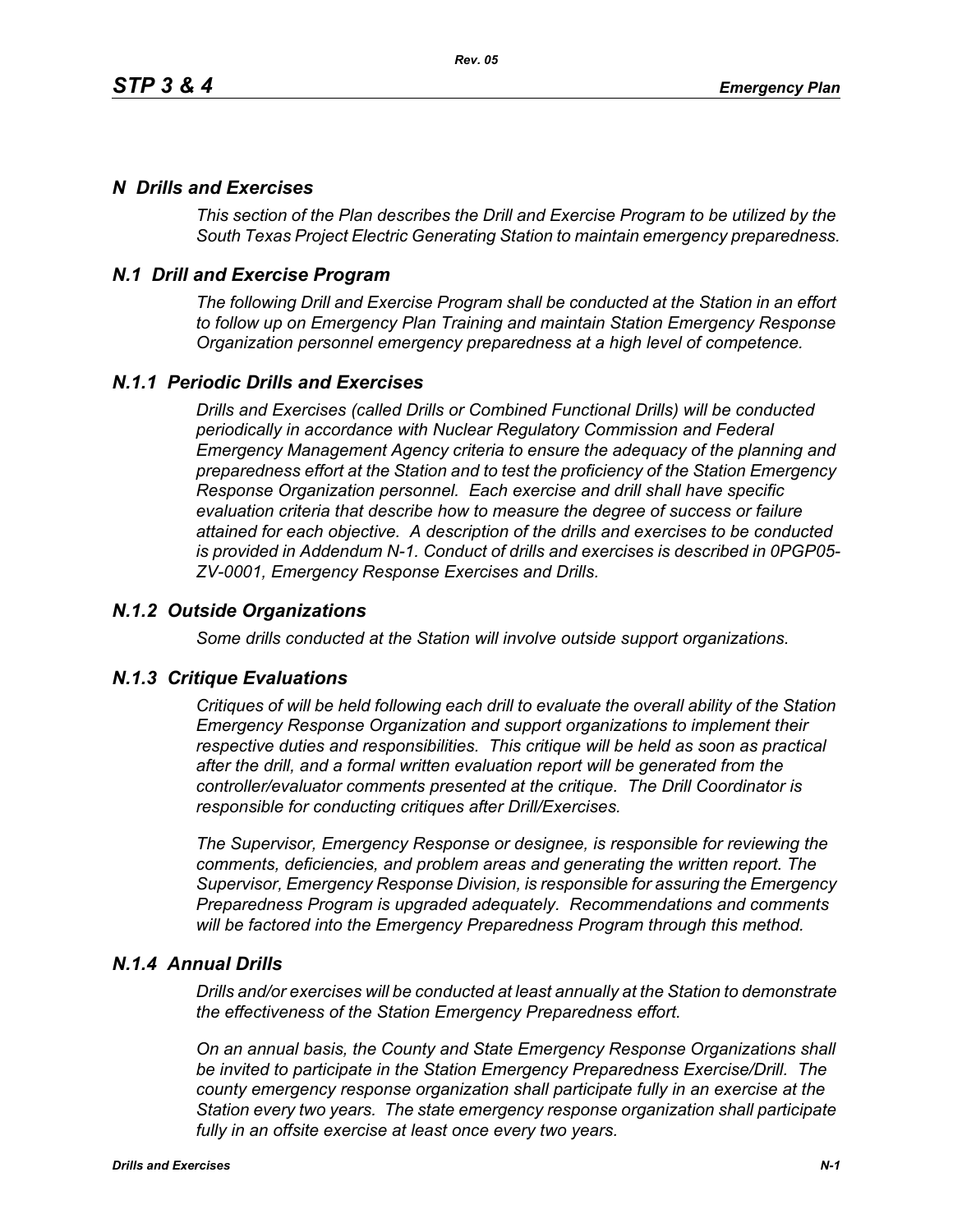# *N Drills and Exercises*

*This section of the Plan describes the Drill and Exercise Program to be utilized by the South Texas Project Electric Generating Station to maintain emergency preparedness.*

# *N.1 Drill and Exercise Program*

*The following Drill and Exercise Program shall be conducted at the Station in an effort to follow up on Emergency Plan Training and maintain Station Emergency Response Organization personnel emergency preparedness at a high level of competence.*

# *N.1.1 Periodic Drills and Exercises*

*Drills and Exercises (called Drills or Combined Functional Drills) will be conducted periodically in accordance with Nuclear Regulatory Commission and Federal Emergency Management Agency criteria to ensure the adequacy of the planning and preparedness effort at the Station and to test the proficiency of the Station Emergency Response Organization personnel. Each exercise and drill shall have specific evaluation criteria that describe how to measure the degree of success or failure attained for each objective. A description of the drills and exercises to be conducted is provided in Addendum N-1. Conduct of drills and exercises is described in 0PGP05- ZV-0001, Emergency Response Exercises and Drills.*

## *N.1.2 Outside Organizations*

*Some drills conducted at the Station will involve outside support organizations.* 

### *N.1.3 Critique Evaluations*

*Critiques of will be held following each drill to evaluate the overall ability of the Station Emergency Response Organization and support organizations to implement their respective duties and responsibilities. This critique will be held as soon as practical after the drill, and a formal written evaluation report will be generated from the controller/evaluator comments presented at the critique. The Drill Coordinator is responsible for conducting critiques after Drill/Exercises.* 

*The Supervisor, Emergency Response or designee, is responsible for reviewing the comments, deficiencies, and problem areas and generating the written report. The Supervisor, Emergency Response Division, is responsible for assuring the Emergency Preparedness Program is upgraded adequately. Recommendations and comments will be factored into the Emergency Preparedness Program through this method.* 

### *N.1.4 Annual Drills*

*Drills and/or exercises will be conducted at least annually at the Station to demonstrate the effectiveness of the Station Emergency Preparedness effort.* 

*On an annual basis, the County and State Emergency Response Organizations shall be invited to participate in the Station Emergency Preparedness Exercise/Drill. The county emergency response organization shall participate fully in an exercise at the Station every two years. The state emergency response organization shall participate fully in an offsite exercise at least once every two years.*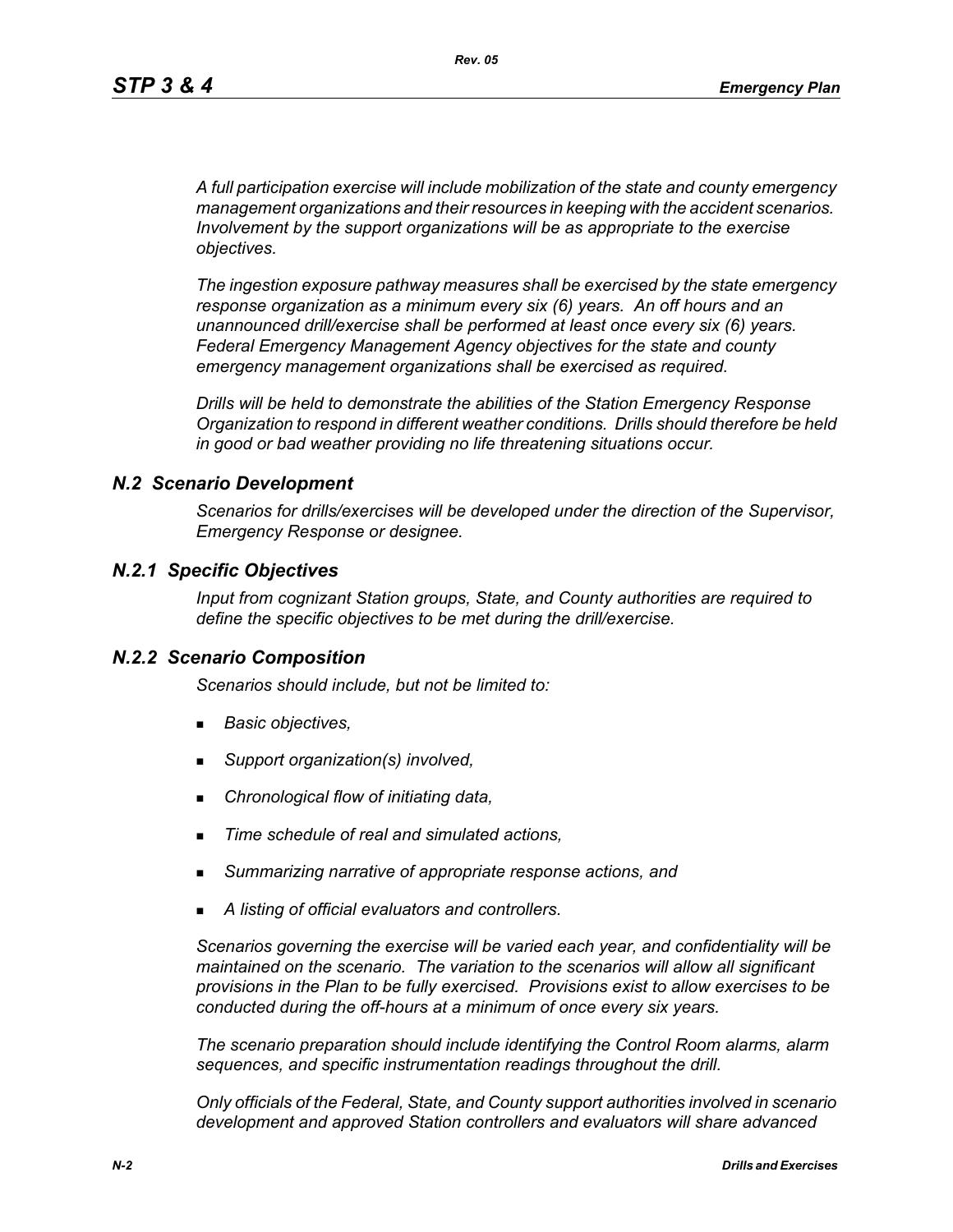*A full participation exercise will include mobilization of the state and county emergency management organizations and their resources in keeping with the accident scenarios. Involvement by the support organizations will be as appropriate to the exercise objectives.* 

*The ingestion exposure pathway measures shall be exercised by the state emergency response organization as a minimum every six (6) years. An off hours and an unannounced drill/exercise shall be performed at least once every six (6) years. Federal Emergency Management Agency objectives for the state and county emergency management organizations shall be exercised as required.*

*Drills will be held to demonstrate the abilities of the Station Emergency Response Organization to respond in different weather conditions. Drills should therefore be held in good or bad weather providing no life threatening situations occur.*

### *N.2 Scenario Development*

*Scenarios for drills/exercises will be developed under the direction of the Supervisor, Emergency Response or designee.* 

### *N.2.1 Specific Objectives*

*Input from cognizant Station groups, State, and County authorities are required to define the specific objectives to be met during the drill/exercise.*

#### *N.2.2 Scenario Composition*

*Scenarios should include, but not be limited to:*

- *Basic objectives,*
- *Support organization(s) involved,*
- *Chronological flow of initiating data,*
- *Time schedule of real and simulated actions,*
- *Summarizing narrative of appropriate response actions, and*
- *A listing of official evaluators and controllers.*

*Scenarios governing the exercise will be varied each year, and confidentiality will be maintained on the scenario. The variation to the scenarios will allow all significant provisions in the Plan to be fully exercised. Provisions exist to allow exercises to be conducted during the off-hours at a minimum of once every six years.*

*The scenario preparation should include identifying the Control Room alarms, alarm sequences, and specific instrumentation readings throughout the drill.*

*Only officials of the Federal, State, and County support authorities involved in scenario development and approved Station controllers and evaluators will share advanced*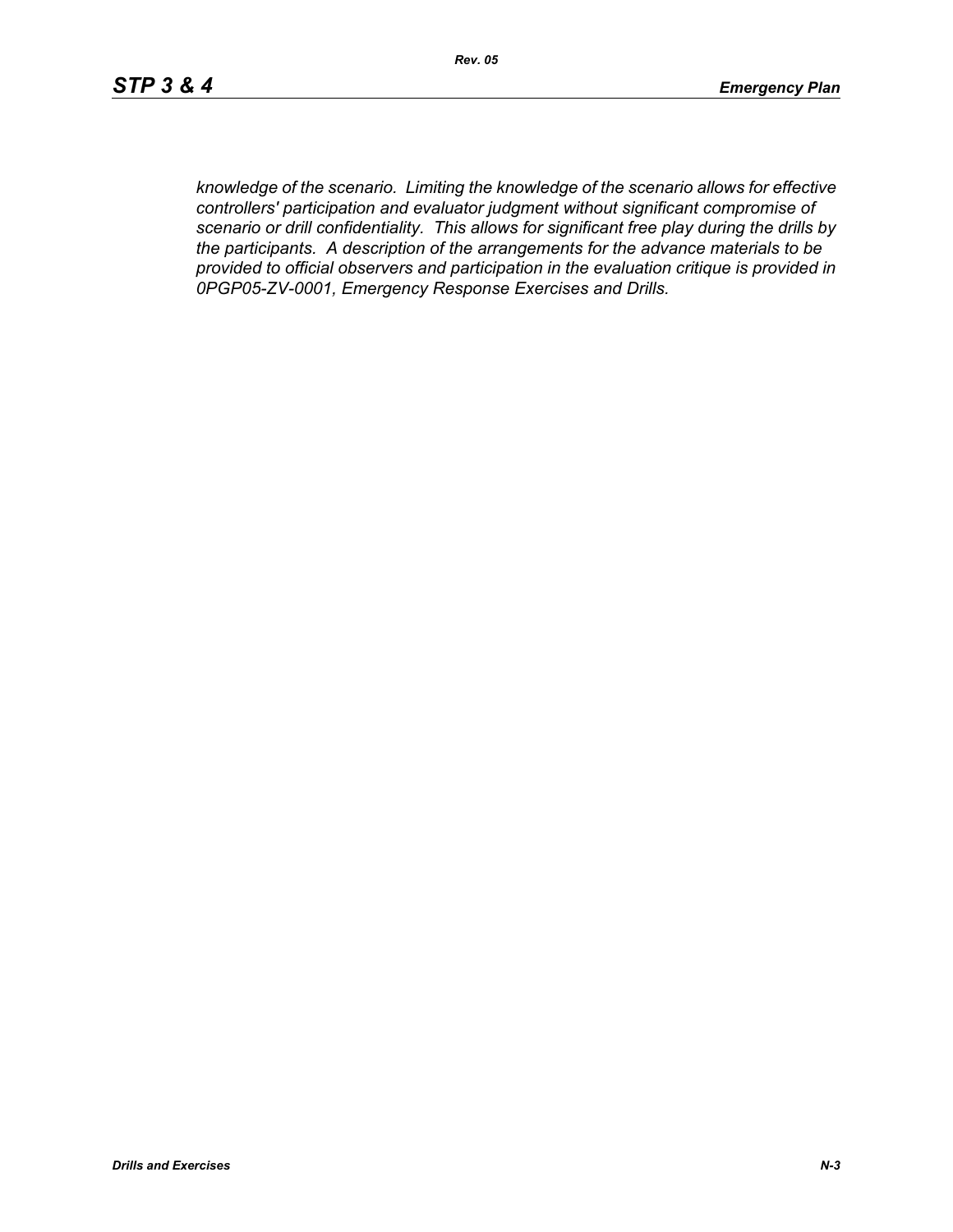*knowledge of the scenario. Limiting the knowledge of the scenario allows for effective controllers' participation and evaluator judgment without significant compromise of scenario or drill confidentiality. This allows for significant free play during the drills by the participants. A description of the arrangements for the advance materials to be provided to official observers and participation in the evaluation critique is provided in 0PGP05-ZV-0001, Emergency Response Exercises and Drills.*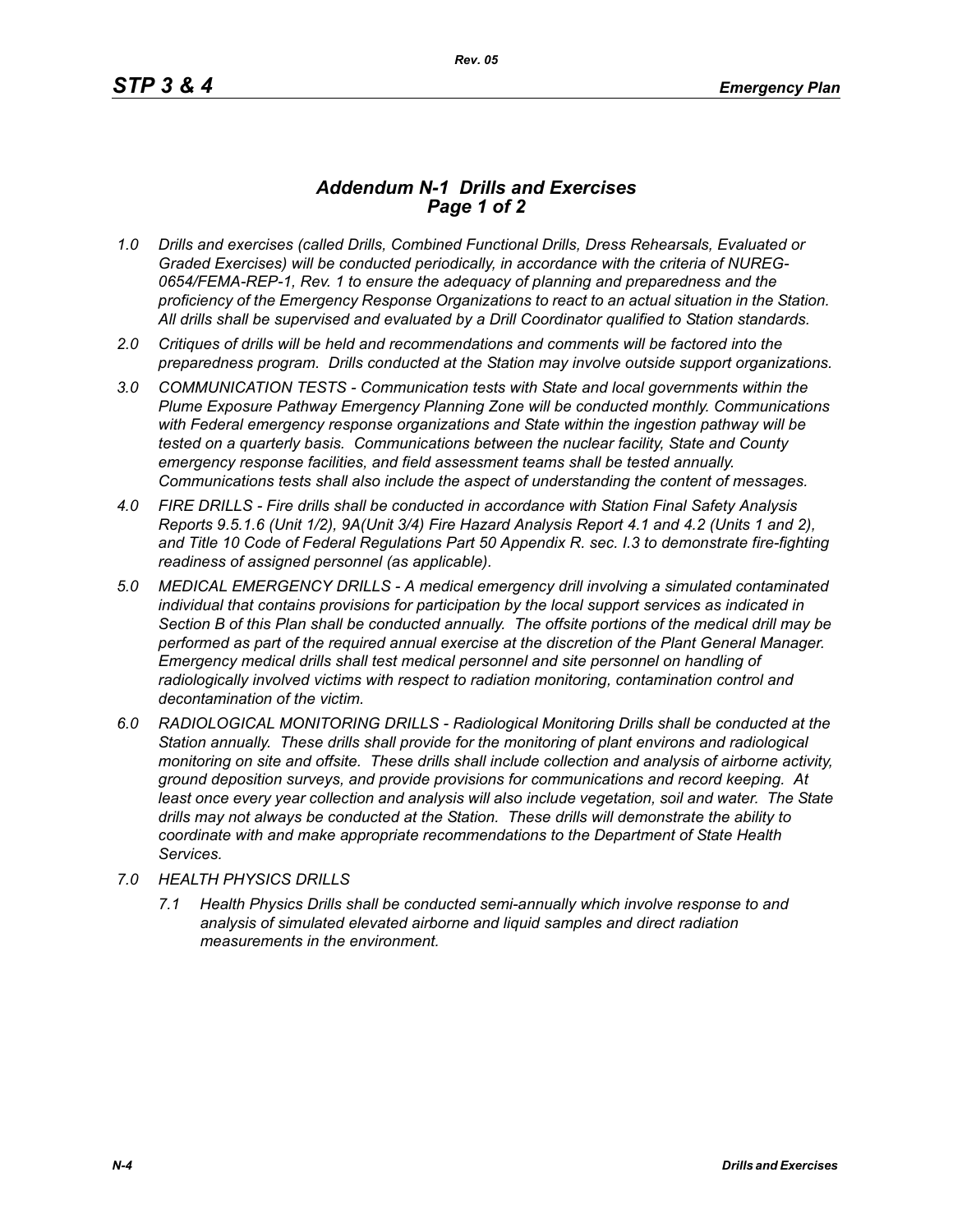## *Addendum N-1 Drills and Exercises Page 1 of 2*

- *1.0 Drills and exercises (called Drills, Combined Functional Drills, Dress Rehearsals, Evaluated or Graded Exercises) will be conducted periodically, in accordance with the criteria of NUREG-0654/FEMA-REP-1, Rev. 1 to ensure the adequacy of planning and preparedness and the proficiency of the Emergency Response Organizations to react to an actual situation in the Station. All drills shall be supervised and evaluated by a Drill Coordinator qualified to Station standards.*
- *2.0 Critiques of drills will be held and recommendations and comments will be factored into the preparedness program. Drills conducted at the Station may involve outside support organizations.*
- *3.0 COMMUNICATION TESTS Communication tests with State and local governments within the Plume Exposure Pathway Emergency Planning Zone will be conducted monthly. Communications with Federal emergency response organizations and State within the ingestion pathway will be tested on a quarterly basis. Communications between the nuclear facility, State and County emergency response facilities, and field assessment teams shall be tested annually. Communications tests shall also include the aspect of understanding the content of messages.*
- *4.0 FIRE DRILLS Fire drills shall be conducted in accordance with Station Final Safety Analysis Reports 9.5.1.6 (Unit 1/2), 9A(Unit 3/4) Fire Hazard Analysis Report 4.1 and 4.2 (Units 1 and 2), and Title 10 Code of Federal Regulations Part 50 Appendix R. sec. I.3 to demonstrate fire-fighting readiness of assigned personnel (as applicable).*
- *5.0 MEDICAL EMERGENCY DRILLS A medical emergency drill involving a simulated contaminated individual that contains provisions for participation by the local support services as indicated in Section B of this Plan shall be conducted annually. The offsite portions of the medical drill may be performed as part of the required annual exercise at the discretion of the Plant General Manager. Emergency medical drills shall test medical personnel and site personnel on handling of*  radiologically involved victims with respect to radiation monitoring, contamination control and *decontamination of the victim.*
- *6.0 RADIOLOGICAL MONITORING DRILLS Radiological Monitoring Drills shall be conducted at the Station annually. These drills shall provide for the monitoring of plant environs and radiological monitoring on site and offsite. These drills shall include collection and analysis of airborne activity, ground deposition surveys, and provide provisions for communications and record keeping. At*  least once every year collection and analysis will also include vegetation, soil and water. The State *drills may not always be conducted at the Station. These drills will demonstrate the ability to coordinate with and make appropriate recommendations to the Department of State Health Services.*
- *7.0 HEALTH PHYSICS DRILLS*
	- *7.1 Health Physics Drills shall be conducted semi-annually which involve response to and analysis of simulated elevated airborne and liquid samples and direct radiation measurements in the environment.*